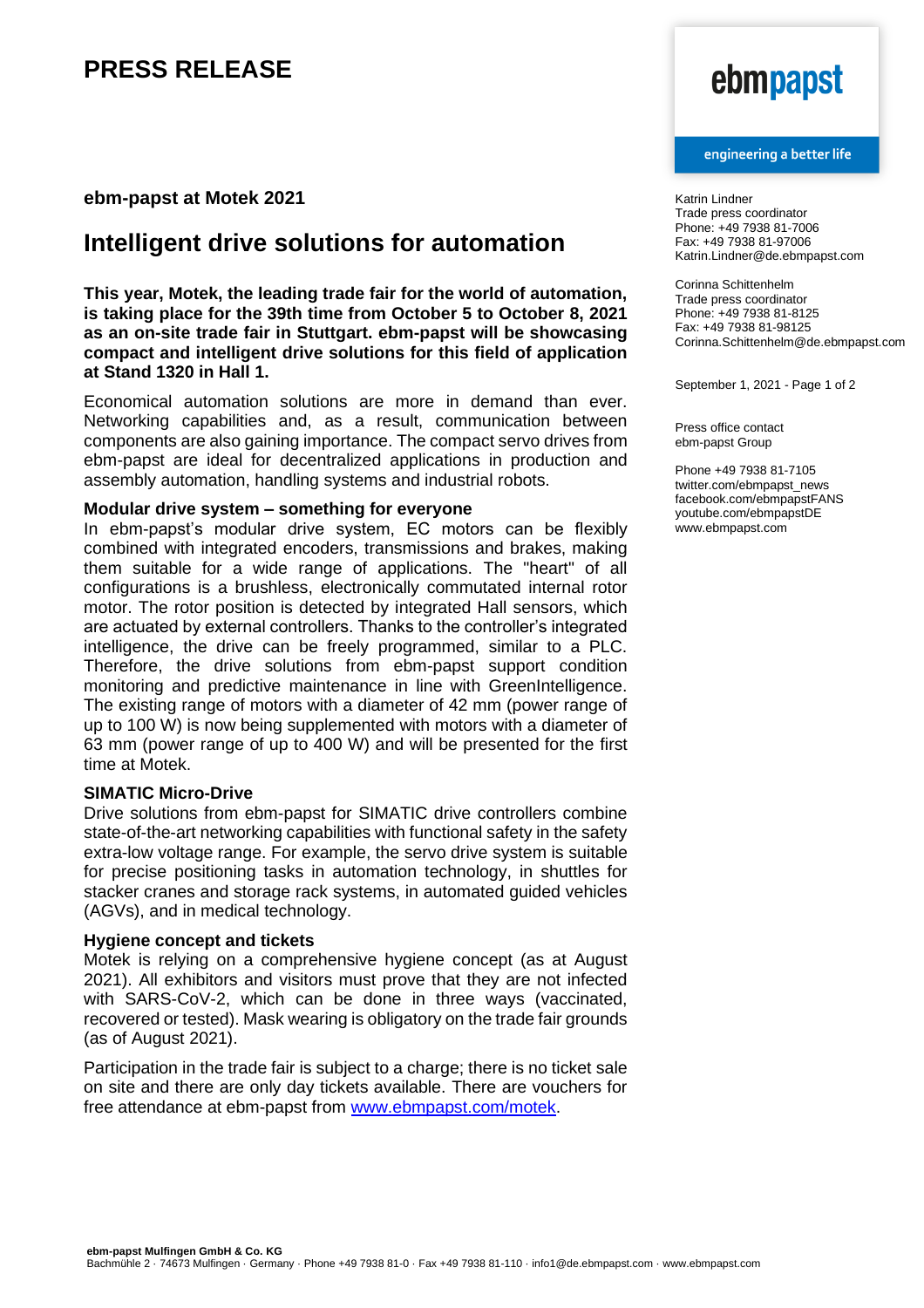# **PRESS RELEASE**

### **ebm-papst at Motek 2021**

## **Intelligent drive solutions for automation**

**This year, Motek, the leading trade fair for the world of automation, is taking place for the 39th time from October 5 to October 8, 2021 as an on-site trade fair in Stuttgart. ebm-papst will be showcasing compact and intelligent drive solutions for this field of application at Stand 1320 in Hall 1.**

Economical automation solutions are more in demand than ever. Networking capabilities and, as a result, communication between components are also gaining importance. The compact servo drives from ebm-papst are ideal for decentralized applications in production and assembly automation, handling systems and industrial robots.

#### **Modular drive system – something for everyone**

In ebm-papst's modular drive system, EC motors can be flexibly combined with integrated encoders, transmissions and brakes, making them suitable for a wide range of applications. The "heart" of all configurations is a brushless, electronically commutated internal rotor motor. The rotor position is detected by integrated Hall sensors, which are actuated by external controllers. Thanks to the controller's integrated intelligence, the drive can be freely programmed, similar to a PLC. Therefore, the drive solutions from ebm-papst support condition monitoring and predictive maintenance in line with GreenIntelligence. The existing range of motors with a diameter of 42 mm (power range of up to 100 W) is now being supplemented with motors with a diameter of 63 mm (power range of up to 400 W) and will be presented for the first time at Motek.

### **SIMATIC Micro-Drive**

Drive solutions from ebm-papst for SIMATIC drive controllers combine state-of-the-art networking capabilities with functional safety in the safety extra-low voltage range. For example, the servo drive system is suitable for precise positioning tasks in automation technology, in shuttles for stacker cranes and storage rack systems, in automated guided vehicles (AGVs), and in medical technology.

#### **Hygiene concept and tickets**

Motek is relying on a comprehensive hygiene concept (as at August 2021). All exhibitors and visitors must prove that they are not infected with SARS-CoV-2, which can be done in three ways (vaccinated, recovered or tested). Mask wearing is obligatory on the trade fair grounds (as of August 2021).

Participation in the trade fair is subject to a charge; there is no ticket sale on site and there are only day tickets available. There are vouchers for free attendance at ebm-papst from [www.ebmpapst.com/motek.](http://www.ebmpapst.com/motek)

# ebmpapst

#### engineering a better life

Katrin Lindner Trade press coordinator Phone: +49 7938 81-7006 Fax: +49 7938 81-97006 Katrin.Lindner@de.ebmpapst.com

Corinna Schittenhelm Trade press coordinator Phone: +49 7938 81-8125 Fax: +49 7938 81-98125 Corinna.Schittenhelm@de.ebmpapst.com

September 1, 2021 - Page 1 of 2

Press office contact ebm-papst Group

Phone +49 7938 81-7105 twitter.com/ebmpapst\_news facebook.com/ebmpapstFANS youtube.com/ebmpapstDE www.ebmpapst.com